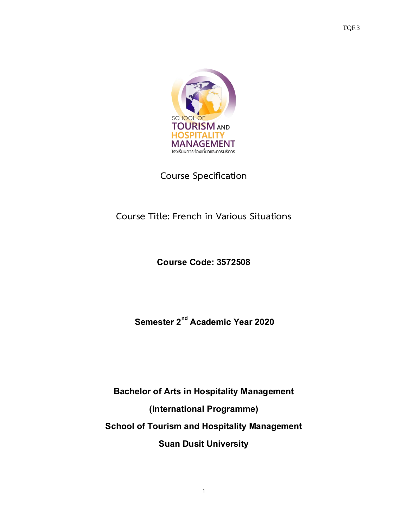

**Course Specification**

## **Course Title: French in Various Situations**

## **Course Code:3572508**

# **Semester2 nd Academic Year2020**

**Bachelor of Arts in Hospitality Management (International Programme) School of Tourism and Hospitality Management Suan Dusit University**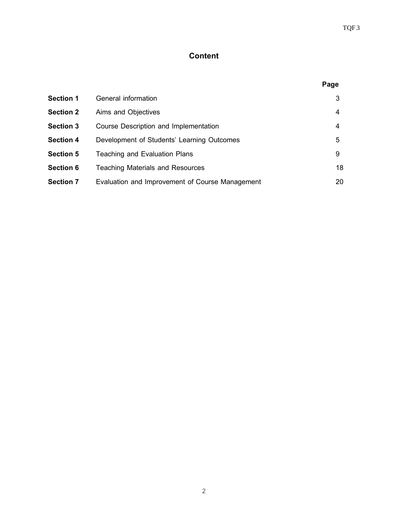## **Content**

|                  |                                                 | Page |
|------------------|-------------------------------------------------|------|
| <b>Section 1</b> | General information                             | 3    |
| <b>Section 2</b> | Aims and Objectives                             | 4    |
| <b>Section 3</b> | Course Description and Implementation           | 4    |
| <b>Section 4</b> | Development of Students' Learning Outcomes      | 5    |
| <b>Section 5</b> | Teaching and Evaluation Plans                   | 9    |
| <b>Section 6</b> | <b>Teaching Materials and Resources</b>         | 18   |
| <b>Section 7</b> | Evaluation and Improvement of Course Management | 20   |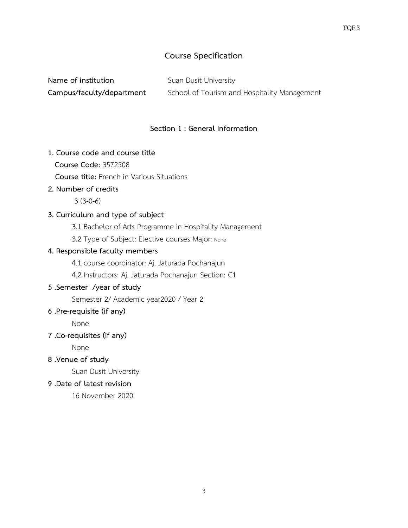## **Course Specification**

| Name of institution       | Suan Dusit University                        |
|---------------------------|----------------------------------------------|
| Campus/faculty/department | School of Tourism and Hospitality Management |

## **Section 1 : General Information**

## **1. Course code and course title**

**Course Code:** 3572508

 **Course title:** French in Various Situations

## **2. Number of credits**

3 (3-0-6)

## **3. Curriculum and type of subject**

3.1 Bachelor of Arts Programme in Hospitality Management

3.2 Type of Subject: Elective courses Major: None

## **4. Responsible faculty members**

4.1 course coordinator: Aj. Jaturada Pochanajun

4.2 Instructors: Aj. Jaturada Pochanajun Section: C1

## **5 .Semester /year of study**

Semester 2/ Academic year2020 / Year 2

## **6 .Pre-requisite (if any)**

None

## **7 .Co-requisites (if any)**

None

**8 .Venue of study**

Suan Dusit University

## **9 .Date of latest revision**

16 November 2020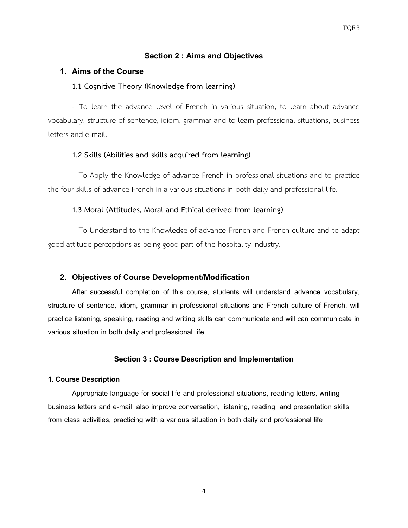## **Section 2 : Aims and Objectives**

#### **1. Aims of the Course**

#### **1.1 Cognitive Theory (Knowledge from learning)**

- To learn the advance level of French in various situation, to learn about advance vocabulary, structure of sentence, idiom, grammar and to learn professional situations, business letters and e-mail.

#### **1.2 Skills (Abilities and skills acquired from learning)**

- To Apply the Knowledge of advance French in professional situations and to practice the four skills of advance French in a various situations in both daily and professional life.

#### **1.3 Moral (Attitudes, Moral and Ethical derived from learning)**

- To Understand to the Knowledge of advance French and French culture and to adapt good attitude perceptions as being good part of the hospitality industry.

#### **2. Objectives of Course Development/Modification**

After successful completion of this course, students will understand advance vocabulary, structure of sentence, idiom, grammar in professional situations and French culture of French, will practice listening, speaking, reading and writing skills can communicate and will can communicate in various situation in both daily and professional life

#### **Section 3 : Course Description and Implementation**

#### **1. Course Description**

Appropriate language for social life and professional situations, reading letters, writing business letters and e-mail, also improve conversation, listening, reading, and presentation skills from class activities, practicing with a various situation in both daily and professional life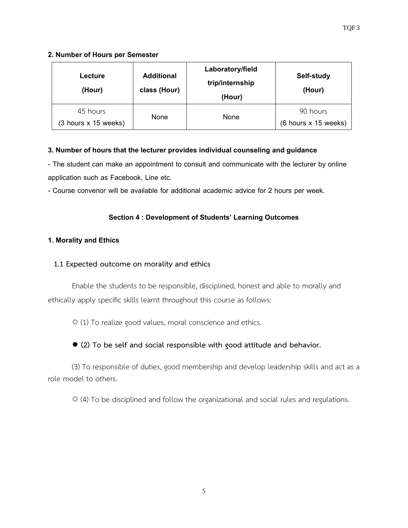## **2. Number of Hours per Semester**

| Lecture<br>(Hour)                | <b>Additional</b><br>class (Hour) | Laboratory/field<br>trip/internship<br>(Hour) | Self-study<br>(Hour)             |
|----------------------------------|-----------------------------------|-----------------------------------------------|----------------------------------|
| 45 hours<br>(3 hours x 15 weeks) | None                              | None                                          | 90 hours<br>(6 hours x 15 weeks) |

## **3. Number of hours that the lecturer provides individual counseling and guidance**

- The student can make an appointment to consult and communicate with the lecturer by online application such as Facebook, Line etc.

- Course convenor will be available for additional academic advice for 2 hours per week.

## **Section 4 : Development of Students' Learning Outcomes**

## **1. Morality and Ethics**

## **1.1 Expected outcome on morality and ethics**

Enable the students to be responsible, disciplined, honest and able to morally and ethically apply specific skills learnt throughout this course as follows:

○ (1) To realize good values, moral conscience and ethics.

## **● (2) To be self and social responsible with good attitude and behavior.**

(3) To responsible of duties, good membership and develop leadership skills and act as a role model to others.

○ (4) To be disciplined and follow the organizational and social rules and regulations.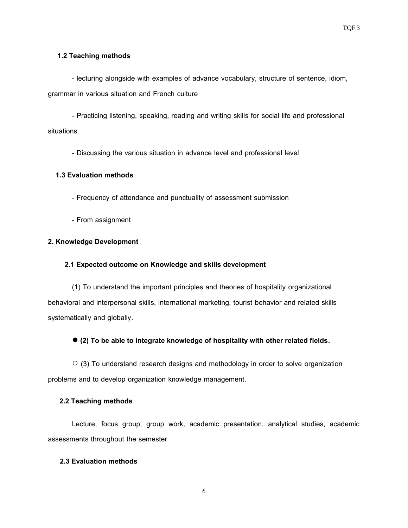#### **1.2 Teaching methods**

- lecturing alongside with examples of advance vocabulary, structure of sentence, idiom, grammar in various situation and French culture

- Practicing listening, speaking, reading and writing skills for social life and professional situations

- Discussing the various situation in advance level and professional level

#### **1.3 Evaluation methods**

- Frequency of attendance and punctuality of assessment submission
- From assignment

#### **2. Knowledge Development**

#### **2.1 Expectedoutcome on Knowledge and skills development**

(1) To understand the important principles and theories of hospitality organizational behavioral and interpersonal skills, international marketing, tourist behavior and related skills systematically and globally.

**● (2) To be able to integrate knowledge of hospitality with other related fields.**

 $\circ$  (3) To understand research designs and methodology in order to solve organization problems and to develop organization knowledge management.

#### **2.2 Teaching methods**

Lecture, focus group, group work, academic presentation, analytical studies, academic assessments throughout the semester

#### **2.3 Evaluation methods**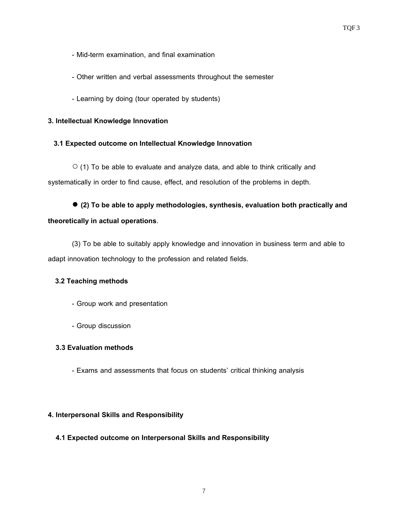- Mid-term examination, and final examination
- Other written and verbal assessments throughout the semester
- Learning by doing (tour operated by students)

#### **3. Intellectual Knowledge Innovation**

#### **3.1 Expected outcome on Intellectual Knowledge Innovation**

 $\circ$  (1) To be able to evaluate and analyze data, and able to think critically and systematically in order to find cause, effect, and resolution of the problems in depth.

● **(2) To be able to apply methodologies, synthesis, evaluation both practically and theoretically in actual operations**.

(3) To be able to suitably apply knowledge and innovation in business term and able to adapt innovation technology to the profession and related fields.

#### **3.2 Teaching methods**

- Group work and presentation
- Group discussion

#### **3.3 Evaluation methods**

- Exams and assessments that focus on students' critical thinking analysis

#### **4. Interpersonal Skills and Responsibility**

#### **4.1 Expected outcome on Interpersonal Skills and Responsibility**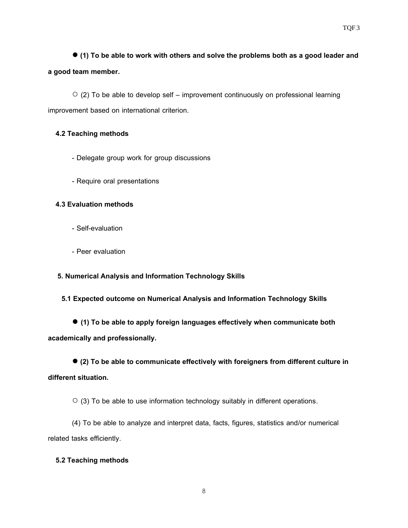**● (1) To be able to work with others and solve the problems both as a good leader and a good team member.**

 $\circ$  (2) To be able to develop self – improvement continuously on professional learning improvement based on international criterion.

#### **4.2 Teaching methods**

- Delegate group work for group discussions
- Require oral presentations

#### **4.3 Evaluation methods**

- Self-evaluation
- Peer evaluation

#### **5. Numerical Analysis and Information Technology Skills**

## **5.1 Expected outcome on Numerical Analysis and Information Technology Skills**

● **(1) To be able to apply foreign languages effectively when communicate both academically and professionally.**

**● (2) To be able to communicate effectively with foreigners from different culture in different situation.**

 $\circ$  (3) To be able to use information technology suitably in different operations.

(4) To be able to analyze and interpret data, facts, figures, statistics and/or numerical related tasks efficiently.

## **5.2Teaching methods**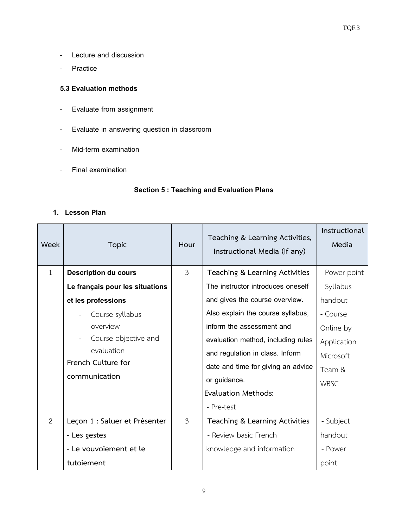- Lecture and discussion
- Practice

#### **5.3 Evaluation methods**

- Evaluate from assignment
- Evaluate in answering question in classroom
- Mid-term examination
- Final examination

## **Section5:Teaching and Evaluation Plans**

#### **1. Lesson Plan**

| Week         | <b>Topic</b>                    | Hour           | Teaching & Learning Activities,<br>Instructional Media (if any) | Instructional<br>Media |
|--------------|---------------------------------|----------------|-----------------------------------------------------------------|------------------------|
| $\mathbf{1}$ | <b>Description du cours</b>     | $\overline{3}$ | Teaching & Learning Activities                                  | - Power point          |
|              | Le français pour les situations |                | The instructor introduces oneself                               | - Syllabus             |
|              | et les professions              |                | and gives the course overview.                                  | handout                |
|              | Course syllabus                 |                | Also explain the course syllabus,                               | - Course               |
|              | overview                        |                | inform the assessment and                                       | Online by              |
|              | Course objective and            |                | evaluation method, including rules                              | Application            |
|              | evaluation                      |                | and regulation in class. Inform                                 | Microsoft              |
|              | French Culture for              |                | date and time for giving an advice                              | Team &                 |
|              | communication                   |                | or guidance.                                                    | <b>WBSC</b>            |
|              |                                 |                | <b>Evaluation Methods:</b>                                      |                        |
|              |                                 |                | - Pre-test                                                      |                        |
| 2            | Leçon 1 : Saluer et Présenter   | $\mathfrak{Z}$ | Teaching & Learning Activities                                  | - Subject              |
|              | - Les gestes                    |                | - Review basic French                                           | handout                |
|              | - Le vouvoiement et le          |                | knowledge and information                                       | - Power                |
|              | tutoiement                      |                |                                                                 | point                  |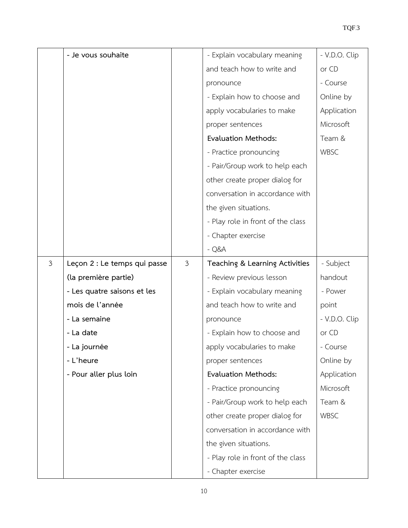|                | - Je vous souhaite           |                | - Explain vocabulary meaning      | - V.D.O. Clip |
|----------------|------------------------------|----------------|-----------------------------------|---------------|
|                |                              |                | and teach how to write and        | or CD         |
|                |                              |                | pronounce                         | - Course      |
|                |                              |                | - Explain how to choose and       | Online by     |
|                |                              |                | apply vocabularies to make        | Application   |
|                |                              |                | proper sentences                  | Microsoft     |
|                |                              |                | <b>Evaluation Methods:</b>        | Team &        |
|                |                              |                | - Practice pronouncing            | WBSC          |
|                |                              |                | - Pair/Group work to help each    |               |
|                |                              |                | other create proper dialog for    |               |
|                |                              |                | conversation in accordance with   |               |
|                |                              |                | the given situations.             |               |
|                |                              |                | - Play role in front of the class |               |
|                |                              |                | - Chapter exercise                |               |
|                |                              |                | $-Q&A$                            |               |
| $\mathfrak{Z}$ | Leçon 2 : Le temps qui passe | $\mathfrak{Z}$ | Teaching & Learning Activities    | - Subject     |
|                | (la première partie)         |                | - Review previous lesson          | handout       |
|                | - Les quatre saisons et les  |                | - Explain vocabulary meaning      | - Power       |
|                | mois de l'année              |                | and teach how to write and        | point         |
|                | - La semaine                 |                | pronounce                         | - V.D.O. Clip |
|                | - La date                    |                | - Explain how to choose and       | or CD         |
|                | - La journée                 |                | apply vocabularies to make        | - Course      |
|                | - L'heure                    |                | proper sentences                  | Online by     |
|                | - Pour aller plus loin       |                | <b>Evaluation Methods:</b>        | Application   |
|                |                              |                | - Practice pronouncing            | Microsoft     |
|                |                              |                | - Pair/Group work to help each    | Team &        |
|                |                              |                | other create proper dialog for    | <b>WBSC</b>   |
|                |                              |                | conversation in accordance with   |               |
|                |                              |                | the given situations.             |               |
|                |                              |                | - Play role in front of the class |               |
|                |                              |                | - Chapter exercise                |               |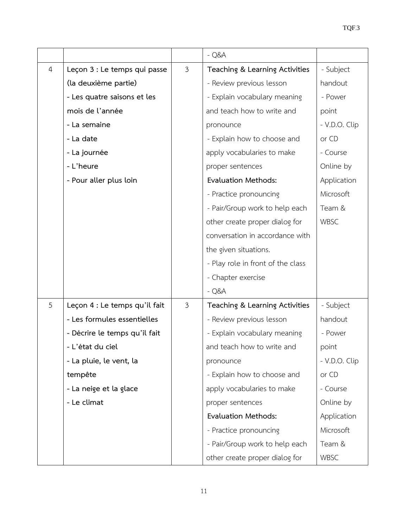|                |                               |                | $-Q&A$                            |               |
|----------------|-------------------------------|----------------|-----------------------------------|---------------|
| $\overline{4}$ | Leçon 3 : Le temps qui passe  | $\mathfrak{Z}$ | Teaching & Learning Activities    | - Subject     |
|                | (la deuxième partie)          |                | - Review previous lesson          | handout       |
|                | - Les quatre saisons et les   |                | - Explain vocabulary meaning      | - Power       |
|                | mois de l'année               |                | and teach how to write and        | point         |
|                | - La semaine                  |                | pronounce                         | - V.D.O. Clip |
|                | - La date                     |                | - Explain how to choose and       | or CD         |
|                | - La journée                  |                | apply vocabularies to make        | - Course      |
|                | - L'heure                     |                | proper sentences                  | Online by     |
|                | - Pour aller plus loin        |                | <b>Evaluation Methods:</b>        | Application   |
|                |                               |                | - Practice pronouncing            | Microsoft     |
|                |                               |                | - Pair/Group work to help each    | Team &        |
|                |                               |                | other create proper dialog for    | WBSC          |
|                |                               |                | conversation in accordance with   |               |
|                |                               |                | the given situations.             |               |
|                |                               |                | - Play role in front of the class |               |
|                |                               |                | - Chapter exercise                |               |
|                |                               |                | $-Q&A$                            |               |
| 5              | Leçon 4 : Le temps qu'il fait | $\mathfrak{Z}$ | Teaching & Learning Activities    | - Subject     |
|                | - Les formules essentielles   |                | - Review previous lesson          | handout       |
|                | - Décrire le temps qu'il fait |                | - Explain vocabulary meaning      | - Power       |
|                | - L'état du ciel              |                | and teach how to write and        | point         |
|                | - La pluie, le vent, la       |                | pronounce                         | - V.D.O. Clip |
|                | tempête                       |                | - Explain how to choose and       | or CD         |
|                | - La neige et la glace        |                | apply vocabularies to make        | - Course      |
|                | - Le climat                   |                | proper sentences                  | Online by     |
|                |                               |                | <b>Evaluation Methods:</b>        | Application   |
|                |                               |                | - Practice pronouncing            | Microsoft     |
|                |                               |                | - Pair/Group work to help each    | Team &        |
|                |                               |                | other create proper dialog for    | WBSC          |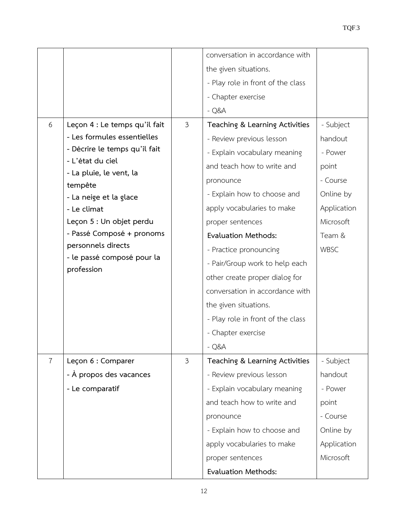|                |                                    |                | conversation in accordance with   |             |
|----------------|------------------------------------|----------------|-----------------------------------|-------------|
|                |                                    |                | the given situations.             |             |
|                |                                    |                | - Play role in front of the class |             |
|                |                                    |                | - Chapter exercise                |             |
|                |                                    |                | $-Q&A$                            |             |
| 6              | Leçon 4 : Le temps qu'il fait      | $\mathfrak{Z}$ | Teaching & Learning Activities    | - Subject   |
|                | - Les formules essentielles        |                | - Review previous lesson          | handout     |
|                | - Décrire le temps qu'il fait      |                | - Explain vocabulary meaning      | - Power     |
|                | - L'état du ciel                   |                | and teach how to write and        | point       |
|                | - La pluie, le vent, la<br>tempête |                | pronounce                         | - Course    |
|                | - La neige et la glace             |                | - Explain how to choose and       | Online by   |
|                | - Le climat                        |                | apply vocabularies to make        | Application |
|                | Leçon 5 : Un objet perdu           |                | proper sentences                  | Microsoft   |
|                | - Passé Composé + pronoms          |                | <b>Evaluation Methods:</b>        | Team &      |
|                | personnels directs                 |                | - Practice pronouncing            | WBSC        |
|                | - le passé composé pour la         |                | - Pair/Group work to help each    |             |
|                | profession                         |                | other create proper dialog for    |             |
|                |                                    |                | conversation in accordance with   |             |
|                |                                    |                | the given situations.             |             |
|                |                                    |                | - Play role in front of the class |             |
|                |                                    |                | - Chapter exercise                |             |
|                |                                    |                | - Q&A                             |             |
| $\overline{7}$ | Leçon 6 : Comparer                 | $\mathfrak{Z}$ | Teaching & Learning Activities    | - Subject   |
|                | - À propos des vacances            |                | - Review previous lesson          | handout     |
|                | - Le comparatif                    |                | - Explain vocabulary meaning      | - Power     |
|                |                                    |                | and teach how to write and        | point       |
|                |                                    |                | pronounce                         | - Course    |
|                |                                    |                | - Explain how to choose and       | Online by   |
|                |                                    |                | apply vocabularies to make        | Application |
|                |                                    |                |                                   | Microsoft   |
|                |                                    |                | proper sentences                  |             |
|                |                                    |                | <b>Evaluation Methods:</b>        |             |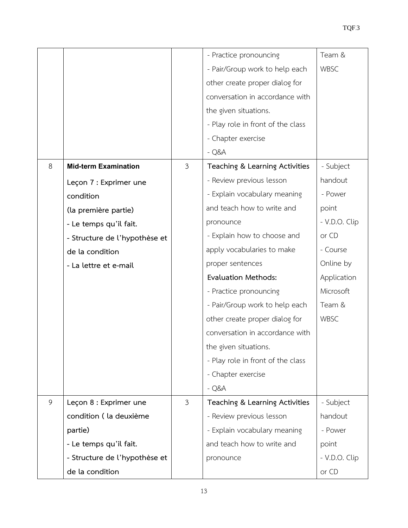|   |                               |                | - Practice pronouncing            | Team &        |
|---|-------------------------------|----------------|-----------------------------------|---------------|
|   |                               |                | - Pair/Group work to help each    | WBSC          |
|   |                               |                | other create proper dialog for    |               |
|   |                               |                | conversation in accordance with   |               |
|   |                               |                | the given situations.             |               |
|   |                               |                | - Play role in front of the class |               |
|   |                               |                |                                   |               |
|   |                               |                | - Chapter exercise                |               |
|   |                               |                | $-Q&A$                            |               |
| 8 | <b>Mid-term Examination</b>   | $\mathfrak{Z}$ | Teaching & Learning Activities    | - Subject     |
|   | Leçon 7 : Exprimer une        |                | - Review previous lesson          | handout       |
|   | condition                     |                | - Explain vocabulary meaning      | - Power       |
|   | (la première partie)          |                | and teach how to write and        | point         |
|   | - Le temps qu'il fait.        |                | pronounce                         | - V.D.O. Clip |
|   | - Structure de l'hypothèse et |                | - Explain how to choose and       | or CD         |
|   | de la condition               |                | apply vocabularies to make        | - Course      |
|   | - La lettre et e-mail         |                | proper sentences                  | Online by     |
|   |                               |                | <b>Evaluation Methods:</b>        | Application   |
|   |                               |                | - Practice pronouncing            | Microsoft     |
|   |                               |                | - Pair/Group work to help each    | Team &        |
|   |                               |                | other create proper dialog for    | WBSC          |
|   |                               |                | conversation in accordance with   |               |
|   |                               |                | the given situations.             |               |
|   |                               |                | - Play role in front of the class |               |
|   |                               |                | - Chapter exercise                |               |
|   |                               |                | $-Q&A$                            |               |
| 9 | Leçon 8 : Exprimer une        | $\mathfrak{Z}$ | Teaching & Learning Activities    | - Subject     |
|   | condition (la deuxième        |                | - Review previous lesson          | handout       |
|   | partie)                       |                | - Explain vocabulary meaning      | - Power       |
|   | - Le temps qu'il fait.        |                | and teach how to write and        | point         |
|   | - Structure de l'hypothèse et |                | pronounce                         | - V.D.O. Clip |
|   | de la condition               |                |                                   | or CD         |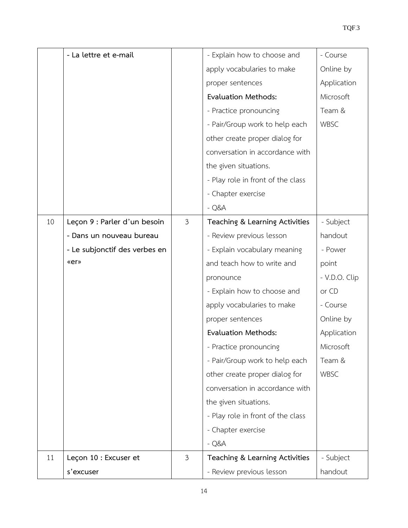|    | - La lettre et e-mail         |                | - Explain how to choose and       | - Course      |
|----|-------------------------------|----------------|-----------------------------------|---------------|
|    |                               |                | apply vocabularies to make        | Online by     |
|    |                               |                | proper sentences                  | Application   |
|    |                               |                | <b>Evaluation Methods:</b>        | Microsoft     |
|    |                               |                | - Practice pronouncing            | Team &        |
|    |                               |                | - Pair/Group work to help each    | WBSC          |
|    |                               |                | other create proper dialog for    |               |
|    |                               |                | conversation in accordance with   |               |
|    |                               |                | the given situations.             |               |
|    |                               |                | - Play role in front of the class |               |
|    |                               |                | - Chapter exercise                |               |
|    |                               |                | $-Q&A$                            |               |
| 10 | Leçon 9 : Parler d'un besoin  | $\mathfrak{Z}$ | Teaching & Learning Activities    | - Subject     |
|    | - Dans un nouveau bureau      |                | - Review previous lesson          | handout       |
|    | - Le subjonctif des verbes en |                | - Explain vocabulary meaning      | - Power       |
|    | «er»                          |                | and teach how to write and        | point         |
|    |                               |                | pronounce                         | - V.D.O. Clip |
|    |                               |                | - Explain how to choose and       | or CD         |
|    |                               |                | apply vocabularies to make        | - Course      |
|    |                               |                | proper sentences                  | Online by     |
|    |                               |                | <b>Evaluation Methods:</b>        | Application   |
|    |                               |                | - Practice pronouncing            | Microsoft     |
|    |                               |                | - Pair/Group work to help each    | Team &        |
|    |                               |                | other create proper dialog for    | WBSC          |
|    |                               |                | conversation in accordance with   |               |
|    |                               |                | the given situations.             |               |
|    |                               |                | - Play role in front of the class |               |
|    |                               |                | - Chapter exercise                |               |
|    |                               |                | $-Q&A$                            |               |
| 11 | Leçon 10 : Excuser et         | $\mathfrak{Z}$ | Teaching & Learning Activities    | - Subject     |
|    | s'excuser                     |                | - Review previous lesson          | handout       |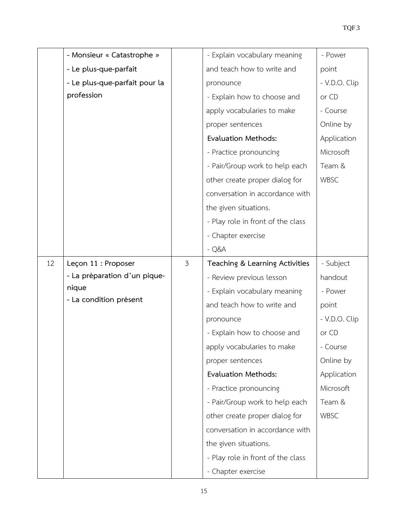|    | - Monsieur « Catastrophe »    |                | - Explain vocabulary meaning      | - Power       |
|----|-------------------------------|----------------|-----------------------------------|---------------|
|    | - Le plus-que-parfait         |                | and teach how to write and        | point         |
|    | - Le plus-que-parfait pour la |                | pronounce                         | - V.D.O. Clip |
|    | profession                    |                | - Explain how to choose and       | or CD         |
|    |                               |                | apply vocabularies to make        | - Course      |
|    |                               |                | proper sentences                  | Online by     |
|    |                               |                | <b>Evaluation Methods:</b>        | Application   |
|    |                               |                | - Practice pronouncing            | Microsoft     |
|    |                               |                | - Pair/Group work to help each    | Team &        |
|    |                               |                | other create proper dialog for    | <b>WBSC</b>   |
|    |                               |                | conversation in accordance with   |               |
|    |                               |                | the given situations.             |               |
|    |                               |                | - Play role in front of the class |               |
|    |                               |                | - Chapter exercise                |               |
|    |                               |                | $-Q&A$                            |               |
| 12 | Leçon 11 : Proposer           | $\mathfrak{Z}$ | Teaching & Learning Activities    | - Subject     |
|    | - La préparation d'un pique-  |                | - Review previous lesson          | handout       |
|    | nique                         |                | - Explain vocabulary meaning      | - Power       |
|    | - La condition présent        |                | and teach how to write and        | point         |
|    |                               |                | pronounce                         | - V.D.O. Clip |
|    |                               |                | - Explain how to choose and       | or CD         |
|    |                               |                | apply vocabularies to make        | - Course      |
|    |                               |                | proper sentences                  | Online by     |
|    |                               |                | Evaluation Methods:               | Application   |
|    |                               |                | - Practice pronouncing            | Microsoft     |
|    |                               |                | - Pair/Group work to help each    | Team &        |
|    |                               |                | other create proper dialog for    | WBSC          |
|    |                               |                | conversation in accordance with   |               |
|    |                               |                | the given situations.             |               |
|    |                               |                | - Play role in front of the class |               |
|    |                               |                | - Chapter exercise                |               |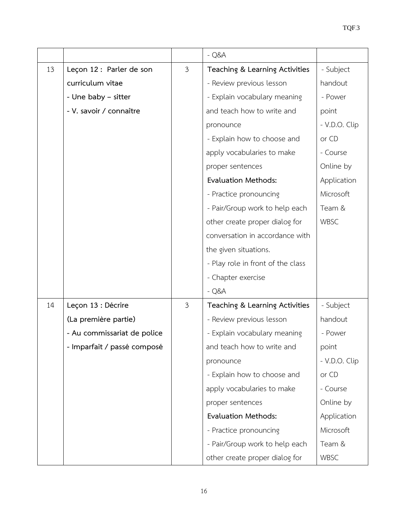|    |                             |                | $-Q&A$                            |               |
|----|-----------------------------|----------------|-----------------------------------|---------------|
| 13 | Leçon 12 : Parler de son    | $\mathfrak{Z}$ | Teaching & Learning Activities    | - Subject     |
|    | curriculum vitae            |                | - Review previous lesson          | handout       |
|    | - Une baby - sitter         |                | - Explain vocabulary meaning      | - Power       |
|    | - V. savoir / connaître     |                | and teach how to write and        | point         |
|    |                             |                | pronounce                         | - V.D.O. Clip |
|    |                             |                | - Explain how to choose and       | or CD         |
|    |                             |                | apply vocabularies to make        | - Course      |
|    |                             |                | proper sentences                  | Online by     |
|    |                             |                | <b>Evaluation Methods:</b>        | Application   |
|    |                             |                | - Practice pronouncing            | Microsoft     |
|    |                             |                | - Pair/Group work to help each    | Team &        |
|    |                             |                | other create proper dialog for    | WBSC          |
|    |                             |                | conversation in accordance with   |               |
|    |                             |                | the given situations.             |               |
|    |                             |                | - Play role in front of the class |               |
|    |                             |                | - Chapter exercise                |               |
|    |                             |                | $-Q&A$                            |               |
| 14 | Leçon 13 : Décrire          | $\mathfrak{Z}$ | Teaching & Learning Activities    | - Subject     |
|    | (La première partie)        |                | - Review previous lesson          | handout       |
|    | - Au commissariat de police |                | - Explain vocabulary meaning      | - Power       |
|    | - Imparfait / passé composé |                | and teach how to write and        | point         |
|    |                             |                | pronounce                         | - V.D.O. Clip |
|    |                             |                | - Explain how to choose and       | or CD         |
|    |                             |                | apply vocabularies to make        | - Course      |
|    |                             |                | proper sentences                  | Online by     |
|    |                             |                | <b>Evaluation Methods:</b>        | Application   |
|    |                             |                | - Practice pronouncing            | Microsoft     |
|    |                             |                | - Pair/Group work to help each    | Team &        |
|    |                             |                | other create proper dialog for    | WBSC          |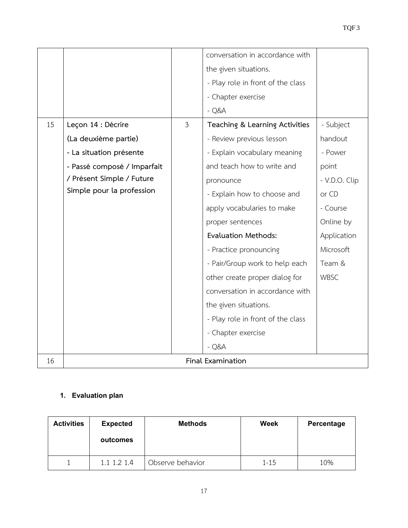|    |                             |                | conversation in accordance with   |               |
|----|-----------------------------|----------------|-----------------------------------|---------------|
|    |                             |                | the given situations.             |               |
|    |                             |                | - Play role in front of the class |               |
|    |                             |                | - Chapter exercise                |               |
|    |                             |                | $-Q&A$                            |               |
| 15 | Leçon 14 : Décrire          | $\overline{3}$ | Teaching & Learning Activities    | - Subject     |
|    | (La deuxième partie)        |                | - Review previous lesson          | handout       |
|    | - La situation présente     |                | - Explain vocabulary meaning      | - Power       |
|    | - Passé composé / Imparfait |                | and teach how to write and        | point         |
|    | / Présent Simple / Future   |                | pronounce                         | - V.D.O. Clip |
|    | Simple pour la profession   |                | - Explain how to choose and       | or CD         |
|    |                             |                | apply vocabularies to make        | - Course      |
|    |                             |                | proper sentences                  | Online by     |
|    |                             |                | <b>Evaluation Methods:</b>        | Application   |
|    |                             |                | - Practice pronouncing            | Microsoft     |
|    |                             |                | - Pair/Group work to help each    | Team &        |
|    |                             |                | other create proper dialog for    | <b>WBSC</b>   |
|    |                             |                | conversation in accordance with   |               |
|    |                             |                | the given situations.             |               |
|    |                             |                | - Play role in front of the class |               |
|    |                             |                | - Chapter exercise                |               |
|    |                             |                | $-Q&A$                            |               |
| 16 |                             |                | Final Examination                 |               |

## **1. Evaluation plan**

| <b>Activities</b> | <b>Expected</b><br>outcomes | <b>Methods</b>   | Week     | Percentage |
|-------------------|-----------------------------|------------------|----------|------------|
|                   | 1.1 1.2 1.4                 | Observe behavior | $1 - 15$ | 10%        |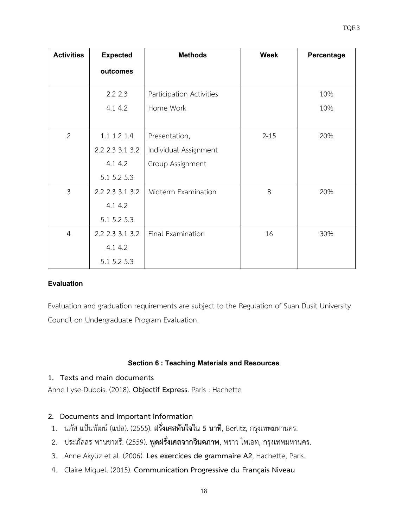| <b>Activities</b> | <b>Expected</b> | <b>Methods</b>           | <b>Week</b> | Percentage |
|-------------------|-----------------|--------------------------|-------------|------------|
|                   | outcomes        |                          |             |            |
|                   | 2.22.3          | Participation Activities |             | 10%        |
|                   | 4.1 4.2         | Home Work                |             | 10%        |
|                   |                 |                          |             |            |
| $\overline{2}$    | 1.1 1.2 1.4     | Presentation,            | $2 - 15$    | 20%        |
|                   | 2.2 2.3 3.1 3.2 | Individual Assignment    |             |            |
|                   | 4.1 4.2         | Group Assignment         |             |            |
|                   | 5.1 5.2 5.3     |                          |             |            |
| $\overline{3}$    | 2.2 2.3 3.1 3.2 | Midterm Examination      | 8           | 20%        |
|                   | 4.1 4.2         |                          |             |            |
|                   | 5.1 5.2 5.3     |                          |             |            |
| $\overline{4}$    | 2.2 2.3 3.1 3.2 | Final Examination        | 16          | 30%        |
|                   | 4.1 4.2         |                          |             |            |
|                   | 5.1 5.2 5.3     |                          |             |            |

## **Evaluation**

Evaluation and graduation requirements are subject to the Regulation of Suan Dusit University Council on Undergraduate Program Evaluation.

## **Section 6: Teaching Materials and Resources**

## **1. Texts and main documents**

Anne Lyse-Dubois. (2018). **Objectif Express**. Paris : Hachette

## **2. Documents and important information**

- 1. นภัส แป้นพัฒน์ (แปล). (2555). **ฝรั่งเศสทันใจใน 5 นาที**, Berlitz, กรุงเทพมหานคร.
- 2. ประภัสสร พานชาตรี. (2559). **พูดฝรั่งเศสจากจินตภาพ**, พราว โพเอท, กรุงเทพมหานคร.
- 3. Anne Akyüz et al. (2006). **Les exercices de grammaire A2**, Hachette, Paris.
- 4. Claire Miquel. (2015). **Communication Progressive du Français Niveau**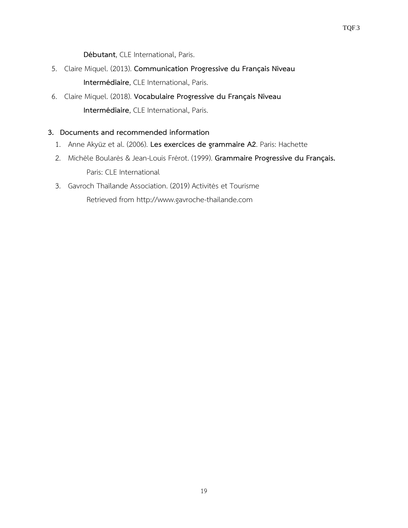**Débutant**, CLE International, Paris.

- 5. Claire Miquel. (2013). **Communication Progressive du Français Niveau Intermédiaire**, CLE International, Paris.
- 6. Claire Miquel. (2018). **Vocabulaire Progressive du Français Niveau Intermédiaire**, CLE International, Paris.

## **3. Documents and recommended information**

- 1. Anne Akyüz et al. (2006). **Les exercices de grammaire A2**. Paris: Hachette
- 2. Michèle Boularès & Jean-Louis Frérot. (1999). **Grammaire Progressive du Français.** Paris: CLE International
- 3. Gavroch Thaïlande Association. (2019) Activités et Tourisme Retrieved from http://www.gavroche-thailande.com